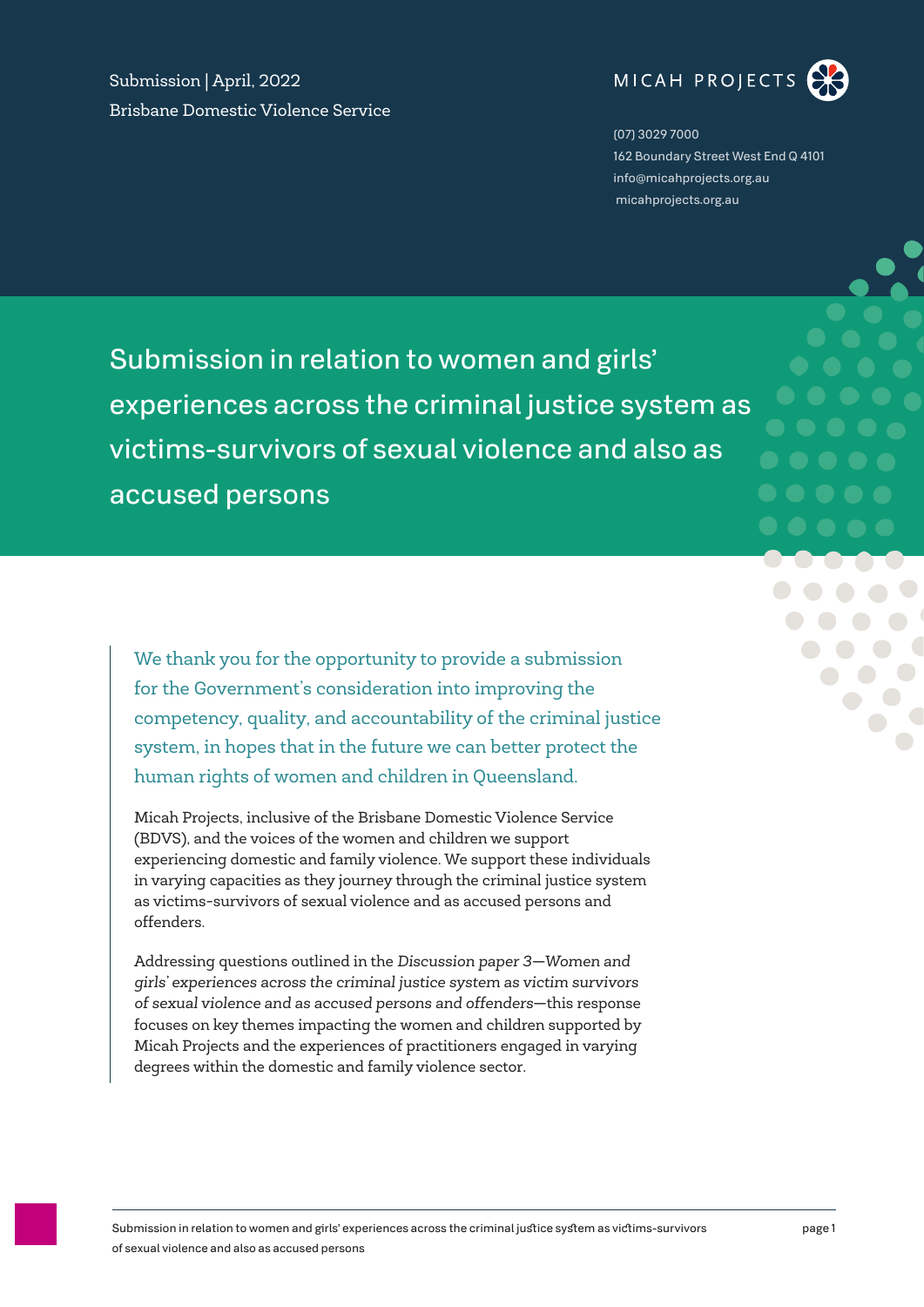Submission | April, 2022 Brisbane Domestic Violence Service



(07) 3029 7000 162 Boundary Street West End Q 4101 info@micahprojects.org.au micahprojects.org.au

Submission in relation to women and girls' experiences across the criminal justice system as victims-survivors of sexual violence and also as accused persons

We thank you for the opportunity to provide a submission for the Government's consideration into improving the competency, quality, and accountability of the criminal justice system, in hopes that in the future we can better protect the human rights of women and children in Queensland.

Micah Projects, inclusive of the Brisbane Domestic Violence Service (BDVS), and the voices of the women and children we support experiencing domestic and family violence. We support these individuals in varying capacities as they journey through the criminal justice system as victims-survivors of sexual violence and as accused persons and offenders.

Addressing questions outlined in the *Discussion paper 3—Women and girls' experiences across the criminal justice system as victim survivors of sexual violence and as accused persons and offenders*—this response focuses on key themes impacting the women and children supported by Micah Projects and the experiences of practitioners engaged in varying degrees within the domestic and family violence sector.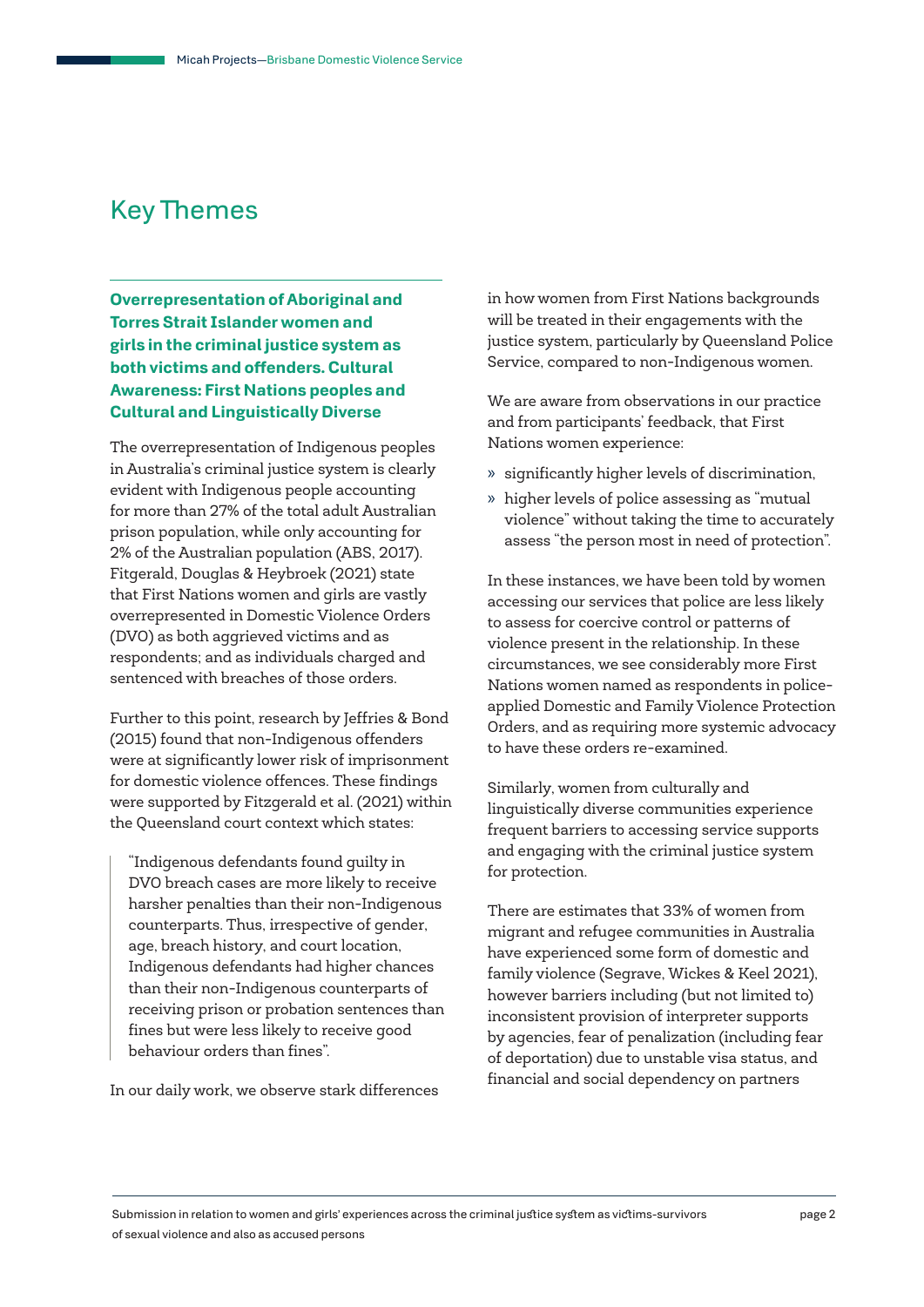# Key Themes

**Overrepresentation of Aboriginal and Torres Strait Islander women and girls in the criminal justice system as both victims and offenders. Cultural Awareness: First Nations peoples and Cultural and Linguistically Diverse**

The overrepresentation of Indigenous peoples in Australia's criminal justice system is clearly evident with Indigenous people accounting for more than 27% of the total adult Australian prison population, while only accounting for 2% of the Australian population (ABS, 2017). Fitgerald, Douglas & Heybroek (2021) state that First Nations women and girls are vastly overrepresented in Domestic Violence Orders (DVO) as both aggrieved victims and as respondents; and as individuals charged and sentenced with breaches of those orders.

Further to this point, research by Jeffries & Bond (2015) found that non-Indigenous offenders were at significantly lower risk of imprisonment for domestic violence offences. These findings were supported by Fitzgerald et al. (2021) within the Queensland court context which states:

"Indigenous defendants found guilty in DVO breach cases are more likely to receive harsher penalties than their non-Indigenous counterparts. Thus, irrespective of gender, age, breach history, and court location, Indigenous defendants had higher chances than their non-Indigenous counterparts of receiving prison or probation sentences than fines but were less likely to receive good behaviour orders than fines".

In our daily work, we observe stark differences

in how women from First Nations backgrounds will be treated in their engagements with the justice system, particularly by Queensland Police Service, compared to non-Indigenous women.

We are aware from observations in our practice and from participants' feedback, that First Nations women experience:

- » significantly higher levels of discrimination,
- » higher levels of police assessing as "mutual violence" without taking the time to accurately assess "the person most in need of protection".

In these instances, we have been told by women accessing our services that police are less likely to assess for coercive control or patterns of violence present in the relationship. In these circumstances, we see considerably more First Nations women named as respondents in policeapplied Domestic and Family Violence Protection Orders, and as requiring more systemic advocacy to have these orders re-examined.

Similarly, women from culturally and linguistically diverse communities experience frequent barriers to accessing service supports and engaging with the criminal justice system for protection.

There are estimates that 33% of women from migrant and refugee communities in Australia have experienced some form of domestic and family violence (Segrave, Wickes & Keel 2021), however barriers including (but not limited to) inconsistent provision of interpreter supports by agencies, fear of penalization (including fear of deportation) due to unstable visa status, and financial and social dependency on partners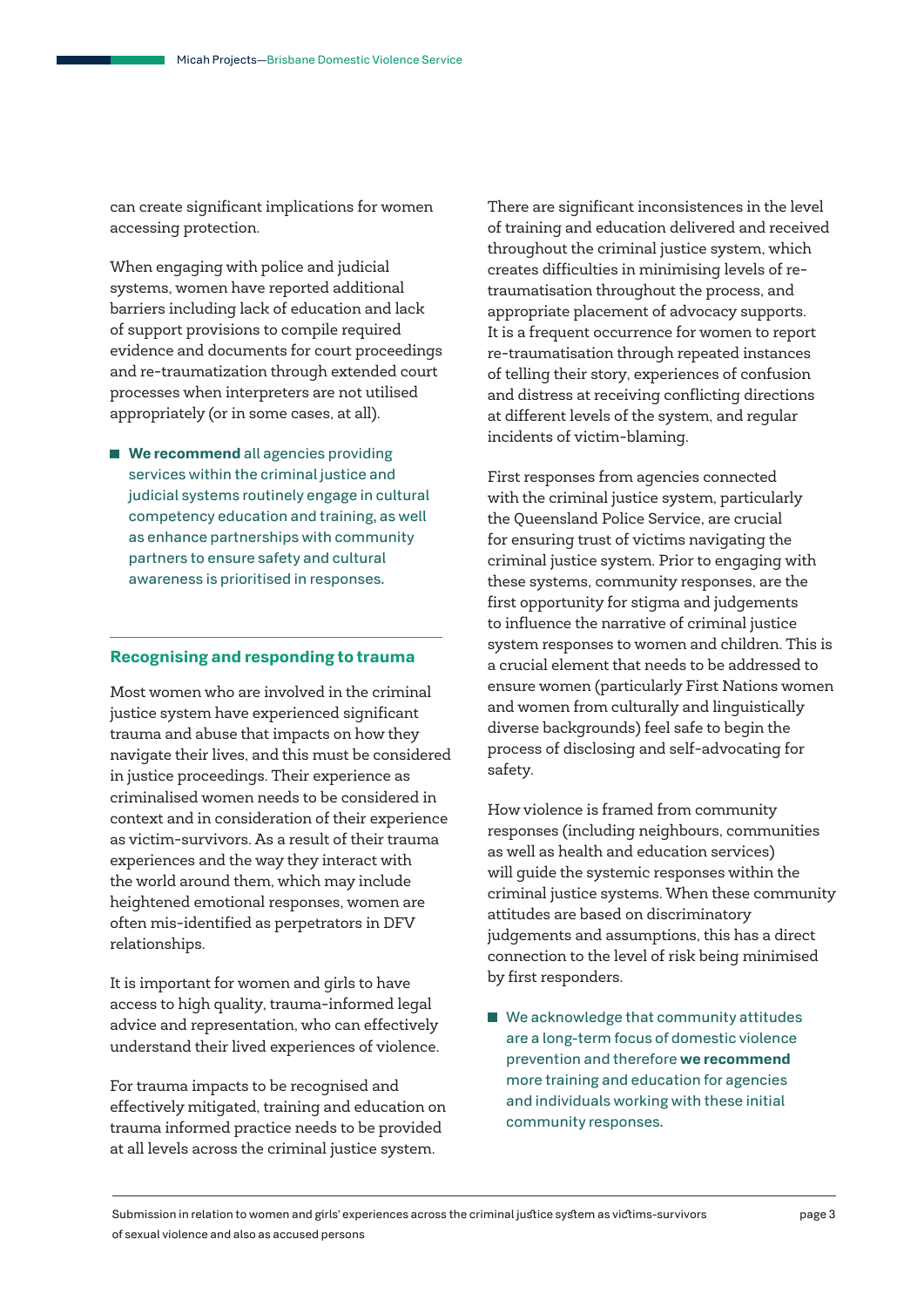can create significant implications for women accessing protection.

When engaging with police and judicial systems, women have reported additional barriers including lack of education and lack of support provisions to compile required evidence and documents for court proceedings and re-traumatization through extended court processes when interpreters are not utilised appropriately (or in some cases, at all).

**We recommend** all agencies providing services within the criminal justice and judicial systems routinely engage in cultural competency education and training, as well as enhance partnerships with community partners to ensure safety and cultural awareness is prioritised in responses.

#### **Recognising and responding to trauma**

Most women who are involved in the criminal justice system have experienced significant trauma and abuse that impacts on how they navigate their lives, and this must be considered in justice proceedings. Their experience as criminalised women needs to be considered in context and in consideration of their experience as victim-survivors. As a result of their trauma experiences and the way they interact with the world around them, which may include heightened emotional responses, women are often mis-identified as perpetrators in DFV relationships.

It is important for women and girls to have access to high quality, trauma-informed legal advice and representation, who can effectively understand their lived experiences of violence.

For trauma impacts to be recognised and effectively mitigated, training and education on trauma informed practice needs to be provided at all levels across the criminal justice system.

There are significant inconsistences in the level of training and education delivered and received throughout the criminal justice system, which creates difficulties in minimising levels of retraumatisation throughout the process, and appropriate placement of advocacy supports. It is a frequent occurrence for women to report re-traumatisation through repeated instances of telling their story, experiences of confusion and distress at receiving conflicting directions at different levels of the system, and regular incidents of victim-blaming.

First responses from agencies connected with the criminal justice system, particularly the Queensland Police Service, are crucial for ensuring trust of victims navigating the criminal justice system. Prior to engaging with these systems, community responses, are the first opportunity for stigma and judgements to influence the narrative of criminal justice system responses to women and children. This is a crucial element that needs to be addressed to ensure women (particularly First Nations women and women from culturally and linguistically diverse backgrounds) feel safe to begin the process of disclosing and self-advocating for safety.

How violence is framed from community responses (including neighbours, communities as well as health and education services) will guide the systemic responses within the criminal justice systems. When these community attitudes are based on discriminatory judgements and assumptions, this has a direct connection to the level of risk being minimised by first responders.

We acknowledge that community attitudes are a long-term focus of domestic violence prevention and therefore **we recommend** more training and education for agencies and individuals working with these initial community responses.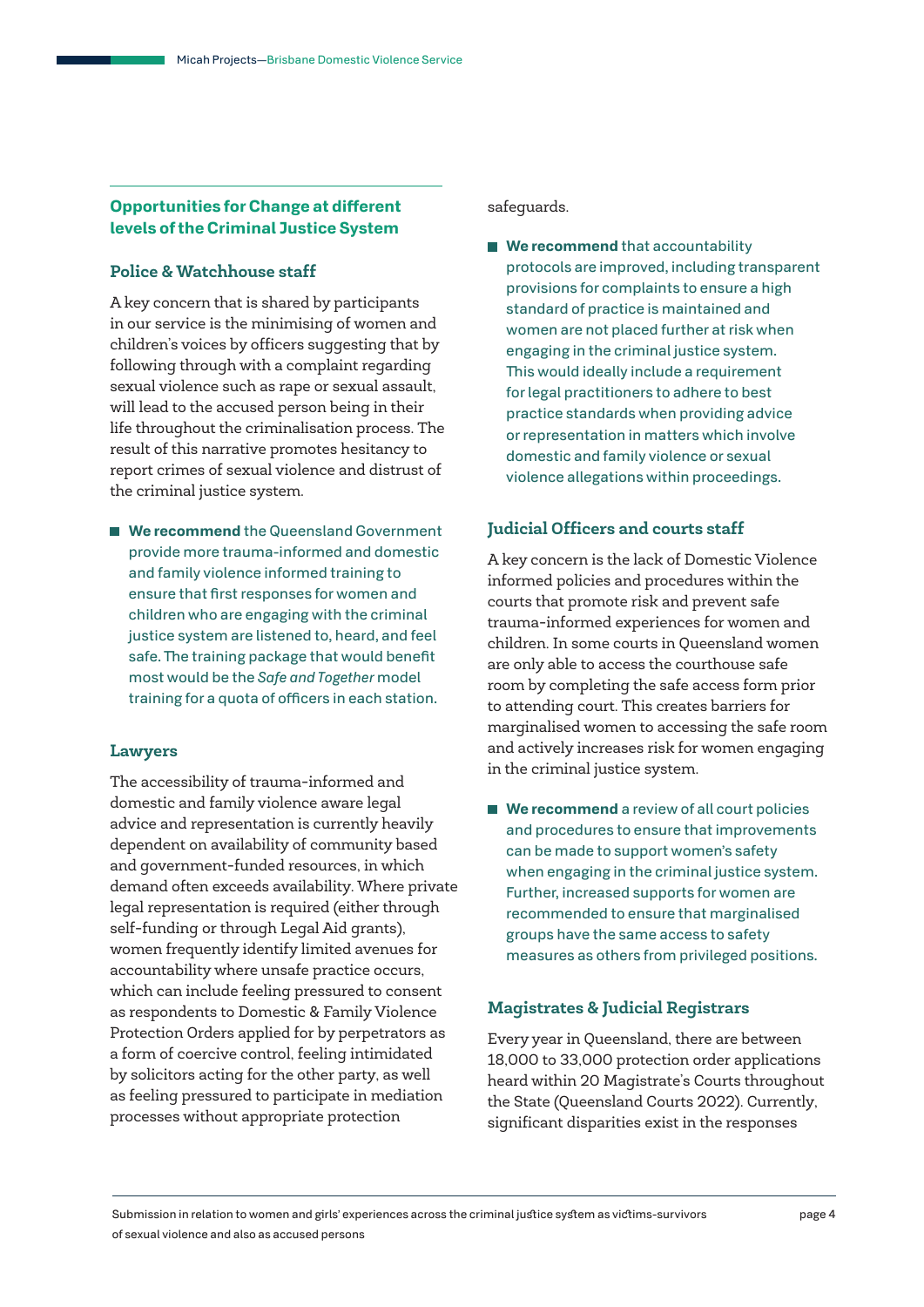### **Opportunities for Change at different levels of the Criminal Justice System**

#### **Police & Watchhouse staff**

A key concern that is shared by participants in our service is the minimising of women and children's voices by officers suggesting that by following through with a complaint regarding sexual violence such as rape or sexual assault, will lead to the accused person being in their life throughout the criminalisation process. The result of this narrative promotes hesitancy to report crimes of sexual violence and distrust of the criminal justice system.

■ We recommend the Queensland Government provide more trauma-informed and domestic and family violence informed training to ensure that first responses for women and children who are engaging with the criminal justice system are listened to, heard, and feel safe. The training package that would benefit most would be the *Safe and Together* model training for a quota of officers in each station.

#### **Lawyers**

The accessibility of trauma-informed and domestic and family violence aware legal advice and representation is currently heavily dependent on availability of community based and government-funded resources, in which demand often exceeds availability. Where private legal representation is required (either through self-funding or through Legal Aid grants), women frequently identify limited avenues for accountability where unsafe practice occurs, which can include feeling pressured to consent as respondents to Domestic & Family Violence Protection Orders applied for by perpetrators as a form of coercive control, feeling intimidated by solicitors acting for the other party, as well as feeling pressured to participate in mediation processes without appropriate protection

safeguards.

**We recommend** that accountability protocols are improved, including transparent provisions for complaints to ensure a high standard of practice is maintained and women are not placed further at risk when engaging in the criminal justice system. This would ideally include a requirement for legal practitioners to adhere to best practice standards when providing advice or representation in matters which involve domestic and family violence or sexual violence allegations within proceedings.

#### **Judicial Officers and courts staff**

A key concern is the lack of Domestic Violence informed policies and procedures within the courts that promote risk and prevent safe trauma-informed experiences for women and children. In some courts in Queensland women are only able to access the courthouse safe room by completing the safe access form prior to attending court. This creates barriers for marginalised women to accessing the safe room and actively increases risk for women engaging in the criminal justice system.

■ **We recommend** a review of all court policies and procedures to ensure that improvements can be made to support women's safety when engaging in the criminal justice system. Further, increased supports for women are recommended to ensure that marginalised groups have the same access to safety measures as others from privileged positions.

#### **Magistrates & Judicial Registrars**

Every year in Queensland, there are between 18,000 to 33,000 protection order applications heard within 20 Magistrate's Courts throughout the State (Queensland Courts 2022). Currently, significant disparities exist in the responses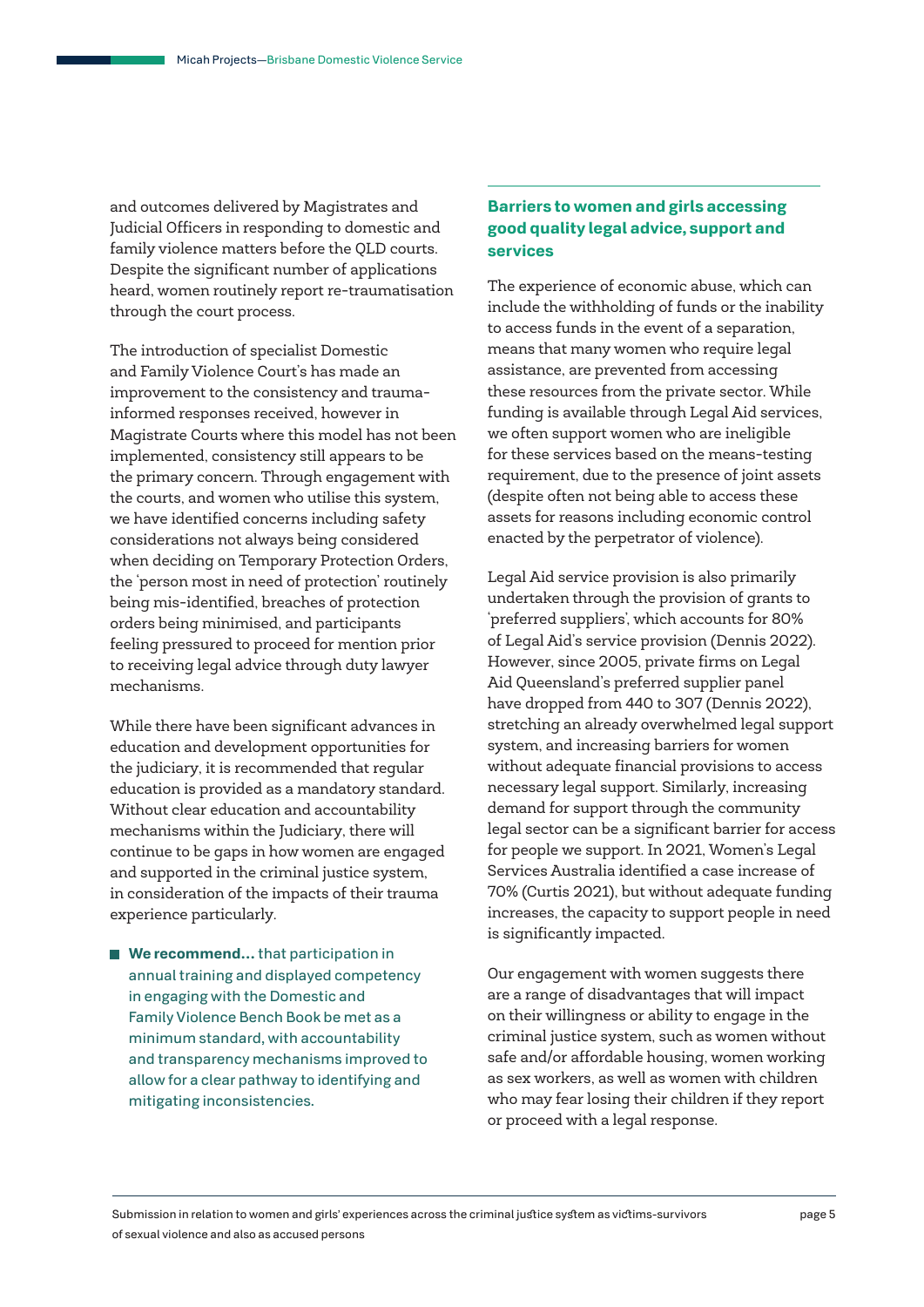and outcomes delivered by Magistrates and Judicial Officers in responding to domestic and family violence matters before the QLD courts. Despite the significant number of applications heard, women routinely report re-traumatisation through the court process.

The introduction of specialist Domestic and Family Violence Court's has made an improvement to the consistency and traumainformed responses received, however in Magistrate Courts where this model has not been implemented, consistency still appears to be the primary concern. Through engagement with the courts, and women who utilise this system, we have identified concerns including safety considerations not always being considered when deciding on Temporary Protection Orders, the 'person most in need of protection' routinely being mis-identified, breaches of protection orders being minimised, and participants feeling pressured to proceed for mention prior to receiving legal advice through duty lawyer mechanisms.

While there have been significant advances in education and development opportunities for the judiciary, it is recommended that regular education is provided as a mandatory standard. Without clear education and accountability mechanisms within the Judiciary, there will continue to be gaps in how women are engaged and supported in the criminal justice system, in consideration of the impacts of their trauma experience particularly.

■ We recommend... that participation in annual training and displayed competency in engaging with the Domestic and Family Violence Bench Book be met as a minimum standard, with accountability and transparency mechanisms improved to allow for a clear pathway to identifying and mitigating inconsistencies.

## **Barriers to women and girls accessing good quality legal advice, support and services**

The experience of economic abuse, which can include the withholding of funds or the inability to access funds in the event of a separation, means that many women who require legal assistance, are prevented from accessing these resources from the private sector. While funding is available through Legal Aid services, we often support women who are ineligible for these services based on the means-testing requirement, due to the presence of joint assets (despite often not being able to access these assets for reasons including economic control enacted by the perpetrator of violence).

Legal Aid service provision is also primarily undertaken through the provision of grants to 'preferred suppliers', which accounts for 80% of Legal Aid's service provision (Dennis 2022). However, since 2005, private firms on Legal Aid Queensland's preferred supplier panel have dropped from 440 to 307 (Dennis 2022), stretching an already overwhelmed legal support system, and increasing barriers for women without adequate financial provisions to access necessary legal support. Similarly, increasing demand for support through the community legal sector can be a significant barrier for access for people we support. In 2021, Women's Legal Services Australia identified a case increase of 70% (Curtis 2021), but without adequate funding increases, the capacity to support people in need is significantly impacted.

Our engagement with women suggests there are a range of disadvantages that will impact on their willingness or ability to engage in the criminal justice system, such as women without safe and/or affordable housing, women working as sex workers, as well as women with children who may fear losing their children if they report or proceed with a legal response.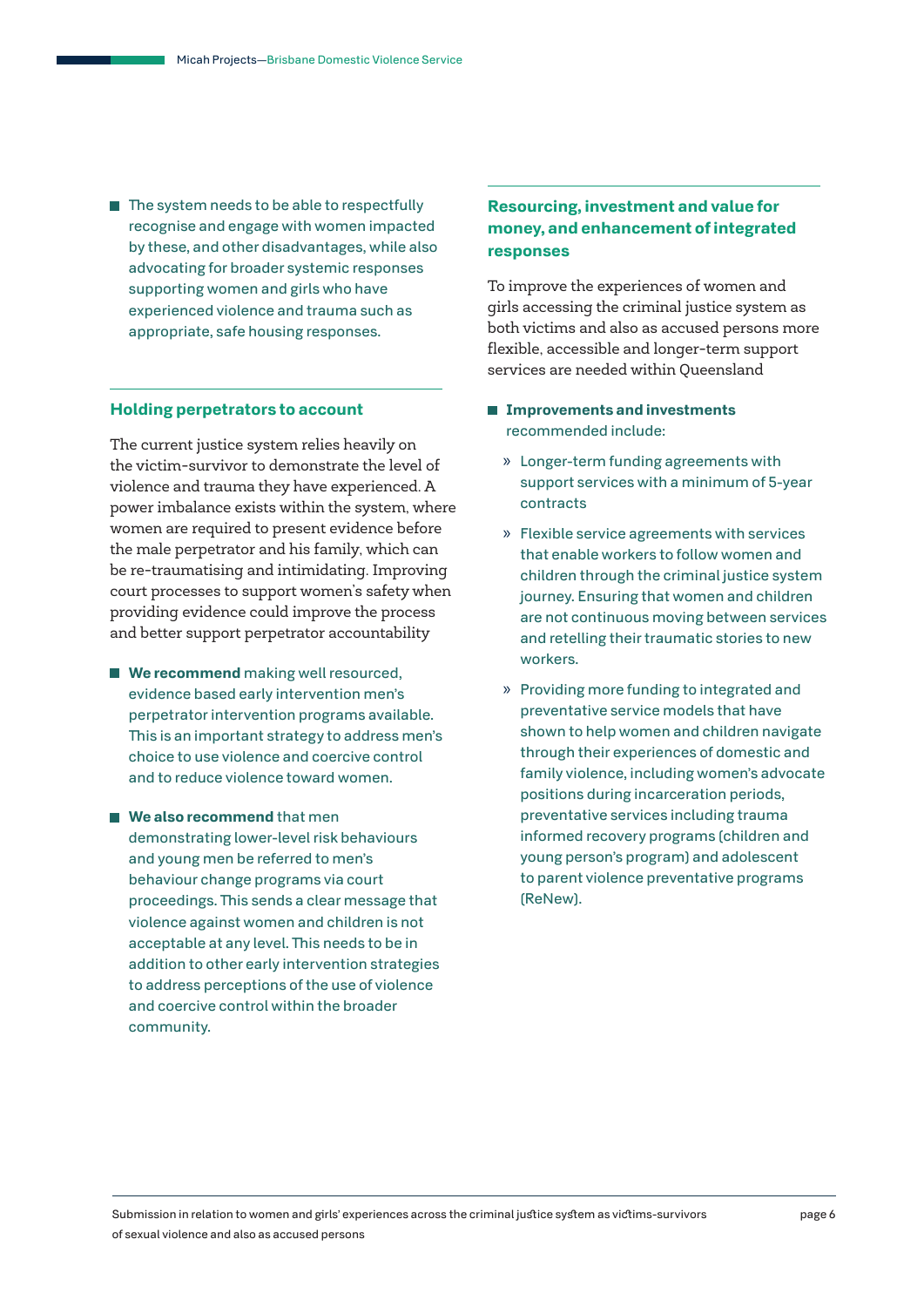$\blacksquare$  The system needs to be able to respectfully recognise and engage with women impacted by these, and other disadvantages, while also advocating for broader systemic responses supporting women and girls who have experienced violence and trauma such as appropriate, safe housing responses.

#### **Holding perpetrators to account**

The current justice system relies heavily on the victim-survivor to demonstrate the level of violence and trauma they have experienced. A power imbalance exists within the system, where women are required to present evidence before the male perpetrator and his family, which can be re-traumatising and intimidating. Improving court processes to support women's safety when providing evidence could improve the process and better support perpetrator accountability

- **We recommend** making well resourced, evidence based early intervention men's perpetrator intervention programs available. This is an important strategy to address men's choice to use violence and coercive control and to reduce violence toward women.
- We also recommend that men demonstrating lower-level risk behaviours and young men be referred to men's behaviour change programs via court proceedings. This sends a clear message that violence against women and children is not acceptable at any level. This needs to be in addition to other early intervention strategies to address perceptions of the use of violence and coercive control within the broader community.

## **Resourcing, investment and value for money, and enhancement of integrated responses**

To improve the experiences of women and girls accessing the criminal justice system as both victims and also as accused persons more flexible, accessible and longer-term support services are needed within Queensland

- **Improvements and investments**  recommended include:
	- » Longer-term funding agreements with support services with a minimum of 5-year contracts
	- » Flexible service agreements with services that enable workers to follow women and children through the criminal justice system journey. Ensuring that women and children are not continuous moving between services and retelling their traumatic stories to new workers.
	- » Providing more funding to integrated and preventative service models that have shown to help women and children navigate through their experiences of domestic and family violence, including women's advocate positions during incarceration periods, preventative services including trauma informed recovery programs (children and young person's program) and adolescent to parent violence preventative programs (ReNew).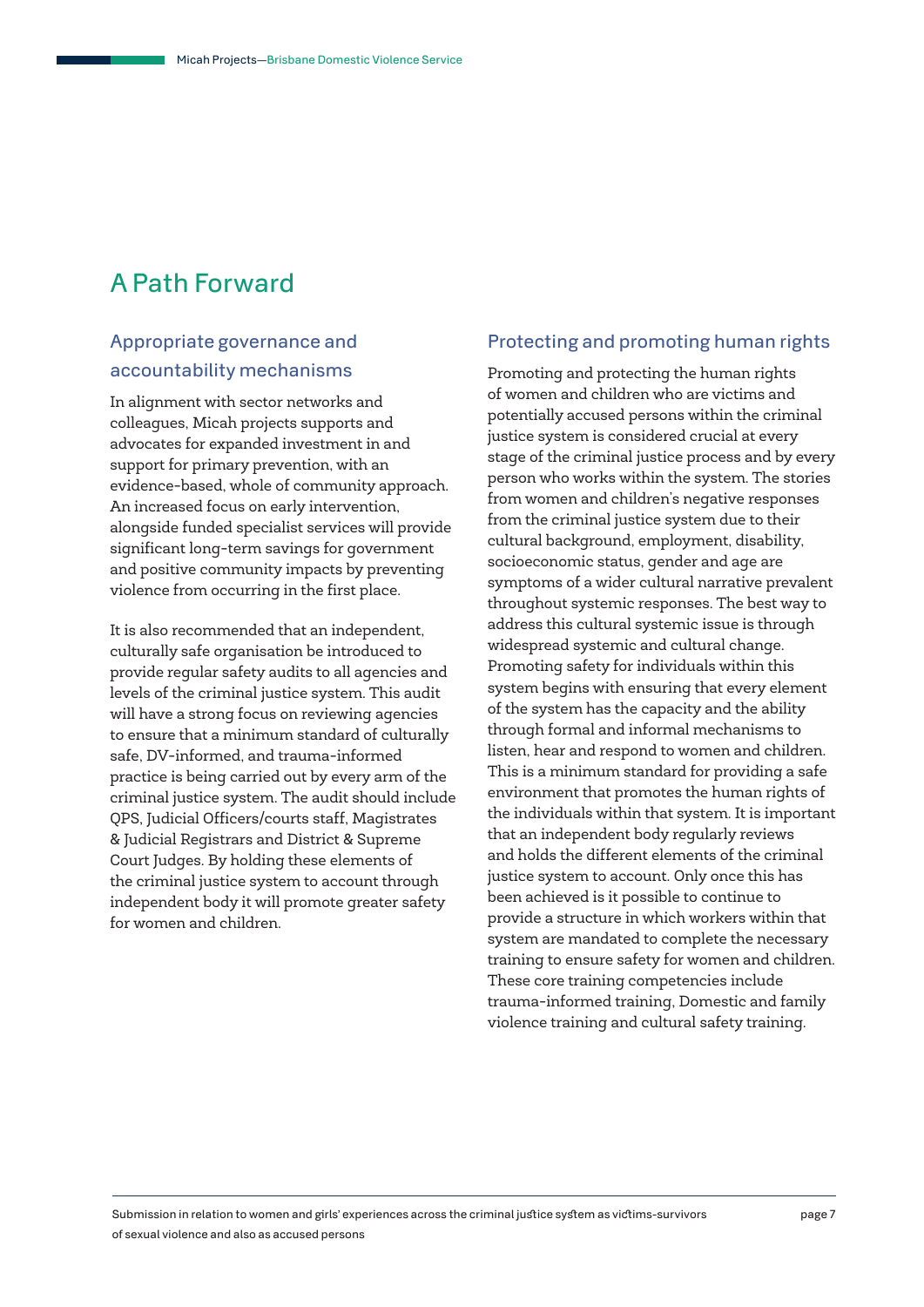# A Path Forward

# Appropriate governance and accountability mechanisms

In alignment with sector networks and colleagues, Micah projects supports and advocates for expanded investment in and support for primary prevention, with an evidence-based, whole of community approach. An increased focus on early intervention, alongside funded specialist services will provide significant long-term savings for government and positive community impacts by preventing violence from occurring in the first place.

It is also recommended that an independent, culturally safe organisation be introduced to provide regular safety audits to all agencies and levels of the criminal justice system. This audit will have a strong focus on reviewing agencies to ensure that a minimum standard of culturally safe, DV-informed, and trauma-informed practice is being carried out by every arm of the criminal justice system. The audit should include QPS, Judicial Officers/courts staff, Magistrates & Judicial Registrars and District & Supreme Court Judges. By holding these elements of the criminal justice system to account through independent body it will promote greater safety for women and children.

### Protecting and promoting human rights

Promoting and protecting the human rights of women and children who are victims and potentially accused persons within the criminal justice system is considered crucial at every stage of the criminal justice process and by every person who works within the system. The stories from women and children's negative responses from the criminal justice system due to their cultural background, employment, disability, socioeconomic status, gender and age are symptoms of a wider cultural narrative prevalent throughout systemic responses. The best way to address this cultural systemic issue is through widespread systemic and cultural change. Promoting safety for individuals within this system begins with ensuring that every element of the system has the capacity and the ability through formal and informal mechanisms to listen, hear and respond to women and children. This is a minimum standard for providing a safe environment that promotes the human rights of the individuals within that system. It is important that an independent body regularly reviews and holds the different elements of the criminal justice system to account. Only once this has been achieved is it possible to continue to provide a structure in which workers within that system are mandated to complete the necessary training to ensure safety for women and children. These core training competencies include trauma-informed training, Domestic and family violence training and cultural safety training.